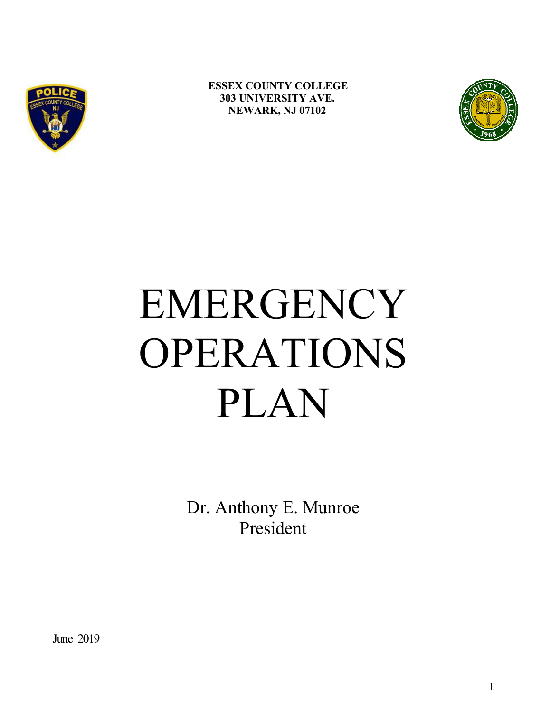

**ESSEX COUNTY COLLEGE 303 UNIVERSITY AVE. NEWARK, NJ 07102** 



# EMERGENCY OPERATIONS PLAN

Dr. Anthony E. Munroe President

June 2019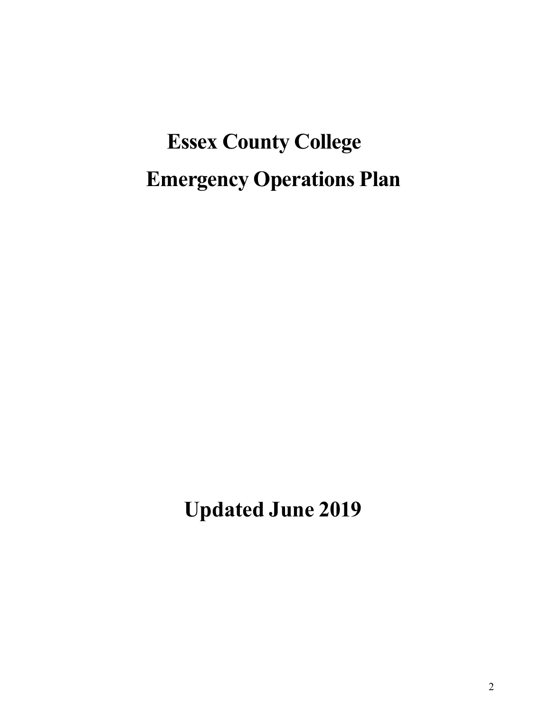# **Essex County College Emergency Operations Plan**

**Updated June 2019**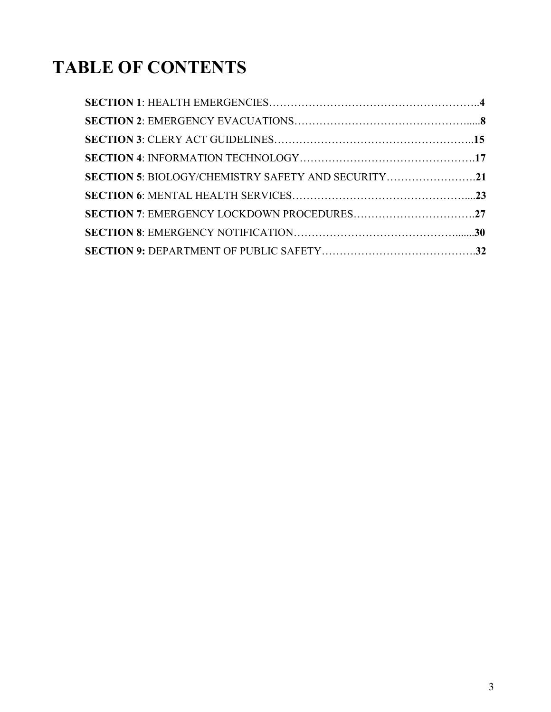# **TABLE OF CONTENTS**

| SECTION 5: BIOLOGY/CHEMISTRY SAFETY AND SECURITY21 |  |
|----------------------------------------------------|--|
|                                                    |  |
|                                                    |  |
|                                                    |  |
|                                                    |  |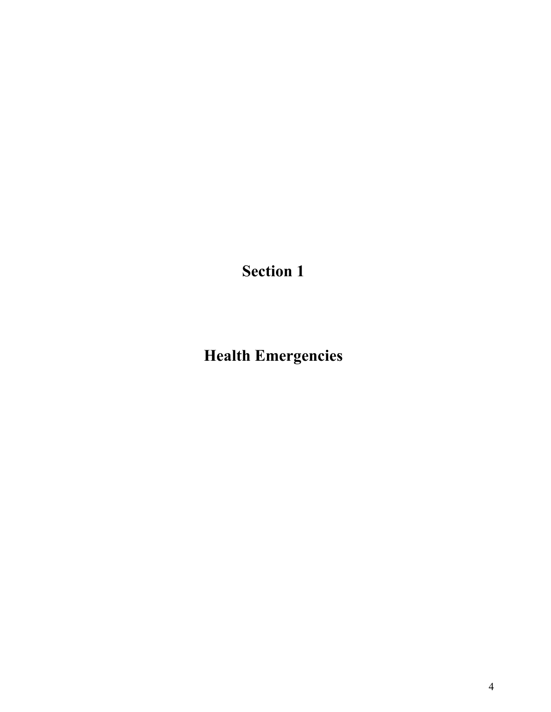**Health Emergencies**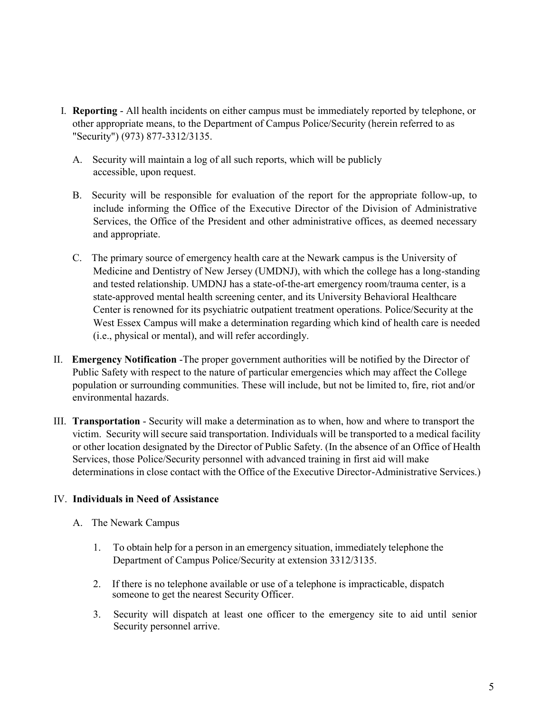- I. **Reporting** All health incidents on either campus must be immediately reported by telephone, or other appropriate means, to the Department of Campus Police/Security (herein referred to as "Security") (973) 877-3312/3135.
	- A. Security will maintain a log of all such reports, which will be publicly accessible, upon request.
	- B. Security will be responsible for evaluation of the report for the appropriate follow-up, to include informing the Office of the Executive Director of the Division of Administrative Services, the Office of the President and other administrative offices, as deemed necessary and appropriate.
	- C. The primary source of emergency health care at the Newark campus is the University of Medicine and Dentistry of New Jersey (UMDNJ), with which the college has a long-standing and tested relationship. UMDNJ has a state-of-the-art emergency room/trauma center, is a state-approved mental health screening center, and its University Behavioral Healthcare Center is renowned for its psychiatric outpatient treatment operations. Police/Security at the West Essex Campus will make a determination regarding which kind of health care is needed (i.e., physical or mental), and will refer accordingly.
- II. **Emergency Notification** -The proper government authorities will be notified by the Director of Public Safety with respect to the nature of particular emergencies which may affect the College population or surrounding communities. These will include, but not be limited to, fire, riot and/or environmental hazards.
- III. **Transportation** Security will make a determination as to when, how and where to transport the victim. Security will secure said transportation. Individuals will be transported to a medical facility or other location designated by the Director of Public Safety. (In the absence of an Office of Health Services, those Police/Security personnel with advanced training in first aid will make determinations in close contact with the Office of the Executive Director-Administrative Services.)

# IV. **Individuals in Need of Assistance**

- A. The Newark Campus
	- 1. To obtain help for a person in an emergency situation, immediately telephone the Department of Campus Police/Security at extension 3312/3135.
	- 2. If there is no telephone available or use of a telephone is impracticable, dispatch someone to get the nearest Security Officer.
	- 3. Security will dispatch at least one officer to the emergency site to aid until senior Security personnel arrive.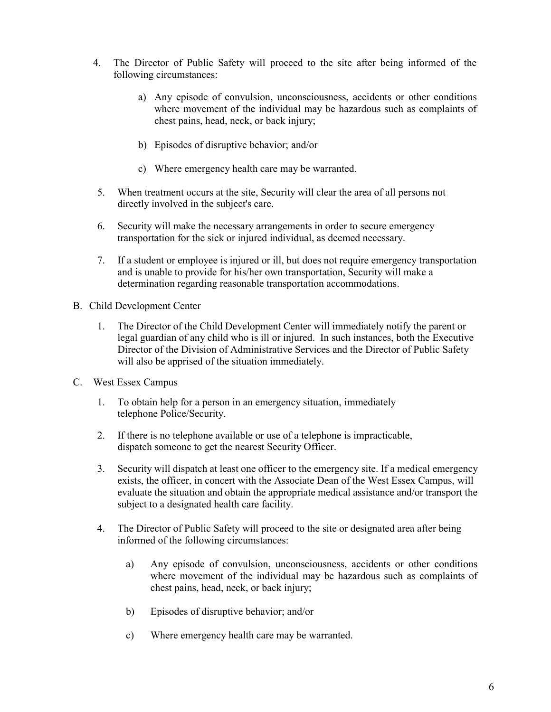- 4. The Director of Public Safety will proceed to the site after being informed of the following circumstances:
	- a) Any episode of convulsion, unconsciousness, accidents or other conditions where movement of the individual may be hazardous such as complaints of chest pains, head, neck, or back injury;
	- b) Episodes of disruptive behavior; and/or
	- c) Where emergency health care may be warranted.
- 5. When treatment occurs at the site, Security will clear the area of all persons not directly involved in the subject's care.
- 6. Security will make the necessary arrangements in order to secure emergency transportation for the sick or injured individual, as deemed necessary.
- 7. If a student or employee is injured or ill, but does not require emergency transportation and is unable to provide for his/her own transportation, Security will make a determination regarding reasonable transportation accommodations.
- B. Child Development Center
	- 1. The Director of the Child Development Center will immediately notify the parent or legal guardian of any child who is ill or injured. In such instances, both the Executive Director of the Division of Administrative Services and the Director of Public Safety will also be apprised of the situation immediately.
- C. West Essex Campus
	- 1. To obtain help for a person in an emergency situation, immediately telephone Police/Security.
	- 2. If there is no telephone available or use of a telephone is impracticable, dispatch someone to get the nearest Security Officer.
	- 3. Security will dispatch at least one officer to the emergency site. If a medical emergency exists, the officer, in concert with the Associate Dean of the West Essex Campus, will evaluate the situation and obtain the appropriate medical assistance and/or transport the subject to a designated health care facility.
	- 4. The Director of Public Safety will proceed to the site or designated area after being informed of the following circumstances:
		- a) Any episode of convulsion, unconsciousness, accidents or other conditions where movement of the individual may be hazardous such as complaints of chest pains, head, neck, or back injury;
		- b) Episodes of disruptive behavior; and/or
		- c) Where emergency health care may be warranted.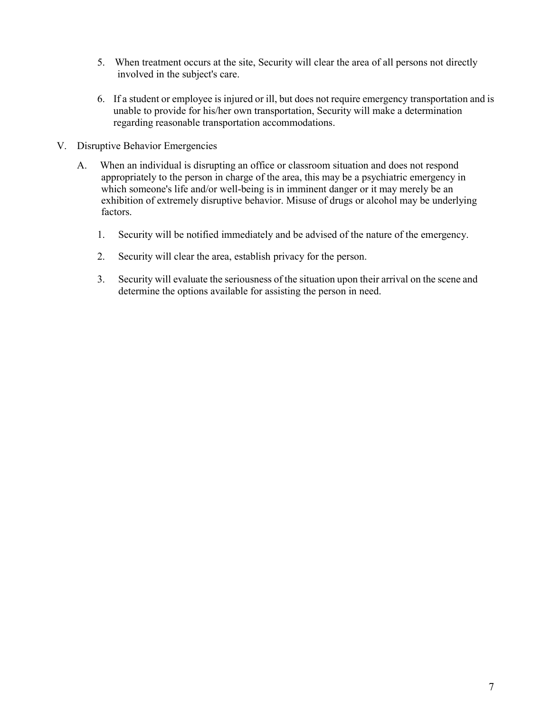- 5. When treatment occurs at the site, Security will clear the area of all persons not directly involved in the subject's care.
- 6. If a student or employee is injured or ill, but does not require emergency transportation and is unable to provide for his/her own transportation, Security will make a determination regarding reasonable transportation accommodations.
- V. Disruptive Behavior Emergencies
	- A. When an individual is disrupting an office or classroom situation and does not respond appropriately to the person in charge of the area, this may be a psychiatric emergency in which someone's life and/or well-being is in imminent danger or it may merely be an exhibition of extremely disruptive behavior. Misuse of drugs or alcohol may be underlying factors.
		- 1. Security will be notified immediately and be advised of the nature of the emergency.
		- 2. Security will clear the area, establish privacy for the person.
		- 3. Security will evaluate the seriousness of the situation upon their arrival on the scene and determine the options available for assisting the person in need.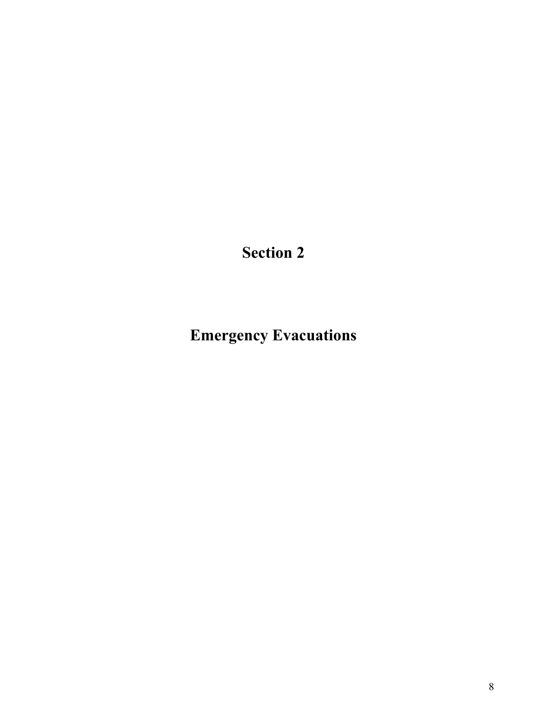**Emergency Evacuations**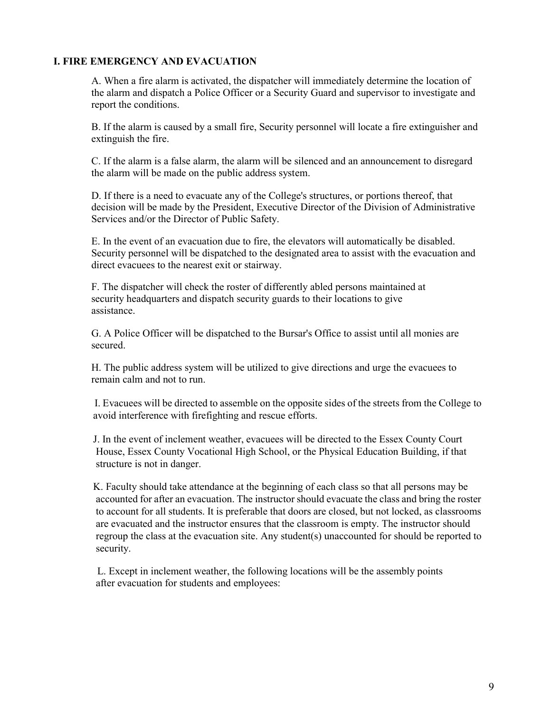## **I. FIRE EMERGENCY AND EVACUATION**

A. When a fire alarm is activated, the dispatcher will immediately determine the location of the alarm and dispatch a Police Officer or a Security Guard and supervisor to investigate and report the conditions.

B. If the alarm is caused by a small fire, Security personnel will locate a fire extinguisher and extinguish the fire.

C. If the alarm is a false alarm, the alarm will be silenced and an announcement to disregard the alarm will be made on the public address system.

D. If there is a need to evacuate any of the College's structures, or portions thereof, that decision will be made by the President, Executive Director of the Division of Administrative Services and/or the Director of Public Safety.

E. In the event of an evacuation due to fire, the elevators will automatically be disabled. Security personnel will be dispatched to the designated area to assist with the evacuation and direct evacuees to the nearest exit or stairway.

F. The dispatcher will check the roster of differently abled persons maintained at security headquarters and dispatch security guards to their locations to give assistance.

G. A Police Officer will be dispatched to the Bursar's Office to assist until all monies are secured.

H. The public address system will be utilized to give directions and urge the evacuees to remain calm and not to run.

I. Evacuees will be directed to assemble on the opposite sides of the streets from the College to avoid interference with firefighting and rescue efforts.

J. In the event of inclement weather, evacuees will be directed to the Essex County Court House, Essex County Vocational High School, or the Physical Education Building, if that structure is not in danger.

K. Faculty should take attendance at the beginning of each class so that all persons may be accounted for after an evacuation. The instructor should evacuate the class and bring the roster to account for all students. It is preferable that doors are closed, but not locked, as classrooms are evacuated and the instructor ensures that the classroom is empty. The instructor should regroup the class at the evacuation site. Any student(s) unaccounted for should be reported to security.

L. Except in inclement weather, the following locations will be the assembly points after evacuation for students and employees: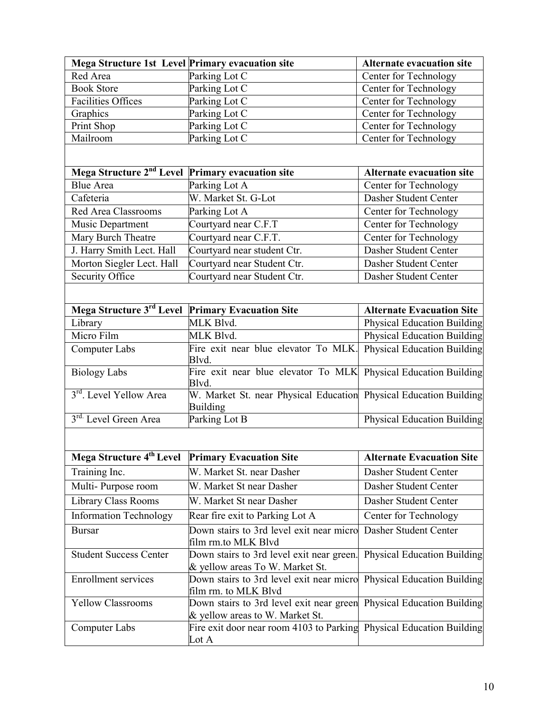| Mega Structure 1st Level Primary evacuation site             |                                                                                                         | <b>Alternate evacuation site</b>   |
|--------------------------------------------------------------|---------------------------------------------------------------------------------------------------------|------------------------------------|
| Red Area                                                     | Parking Lot C                                                                                           | Center for Technology              |
| <b>Book Store</b>                                            | Parking Lot C                                                                                           | Center for Technology              |
| <b>Facilities Offices</b>                                    | Parking Lot C                                                                                           | Center for Technology              |
| Graphics                                                     | Parking Lot C                                                                                           | Center for Technology              |
| Print Shop                                                   | Parking Lot C                                                                                           | Center for Technology              |
| Mailroom                                                     | Parking Lot C                                                                                           | Center for Technology              |
|                                                              |                                                                                                         |                                    |
| Mega Structure 2 <sup>nd</sup> Level                         | <b>Primary evacuation site</b>                                                                          | <b>Alternate evacuation site</b>   |
| <b>Blue Area</b>                                             | Parking Lot A                                                                                           | Center for Technology              |
| Cafeteria                                                    | W. Market St. G-Lot                                                                                     | Dasher Student Center              |
| Red Area Classrooms                                          | Parking Lot A                                                                                           | <b>Center for Technology</b>       |
| Music Department                                             | Courtyard near C.F.T                                                                                    | Center for Technology              |
| Mary Burch Theatre                                           | Courtyard near C.F.T.                                                                                   | Center for Technology              |
| J. Harry Smith Lect. Hall                                    | Courtyard near student Ctr.                                                                             | Dasher Student Center              |
| Morton Siegler Lect. Hall                                    | Courtyard near Student Ctr.                                                                             | Dasher Student Center              |
| Security Office                                              | Courtyard near Student Ctr.                                                                             | Dasher Student Center              |
|                                                              |                                                                                                         |                                    |
| Mega Structure 3rd Level Primary Evacuation Site             |                                                                                                         | <b>Alternate Evacuation Site</b>   |
| Library                                                      | MLK Blvd.                                                                                               | <b>Physical Education Building</b> |
| Micro Film                                                   | MLK Blvd.                                                                                               | <b>Physical Education Building</b> |
| <b>Computer Labs</b>                                         | Fire exit near blue elevator To MLK.<br>Blvd.                                                           | <b>Physical Education Building</b> |
| <b>Biology Labs</b>                                          | Fire exit near blue elevator To MLK<br>Blvd.                                                            | <b>Physical Education Building</b> |
| 3 <sup>rd</sup> . Level Yellow Area                          | W. Market St. near Physical Education Physical Education Building<br><b>Building</b>                    |                                    |
| 3rd. Level Green Area                                        | Parking Lot B                                                                                           | <b>Physical Education Building</b> |
|                                                              |                                                                                                         |                                    |
| Mega Structure 4 <sup>th</sup> Level Primary Evacuation Site |                                                                                                         | <b>Alternate Evacuation Site</b>   |
| Training Inc.                                                | W. Market St. near Dasher                                                                               | Dasher Student Center              |
| Multi-Purpose room                                           | W. Market St near Dasher                                                                                | Dasher Student Center              |
| Library Class Rooms                                          | W. Market St near Dasher                                                                                | Dasher Student Center              |
| <b>Information Technology</b>                                | Rear fire exit to Parking Lot A                                                                         | Center for Technology              |
| <b>Bursar</b>                                                | Down stairs to 3rd level exit near micro<br>film rm.to MLK Blvd                                         | Dasher Student Center              |
| <b>Student Success Center</b>                                | Down stairs to 3rd level exit near green.<br>& yellow areas To W. Market St.                            | <b>Physical Education Building</b> |
| Enrollment services                                          | Down stairs to 3rd level exit near micro Physical Education Building<br>film rm. to MLK Blvd            |                                    |
| <b>Yellow Classrooms</b>                                     | Down stairs to 3rd level exit near green Physical Education Building<br>& yellow areas to W. Market St. |                                    |
| Computer Labs                                                | Fire exit door near room 4103 to Parking Physical Education Building<br>Lot A                           |                                    |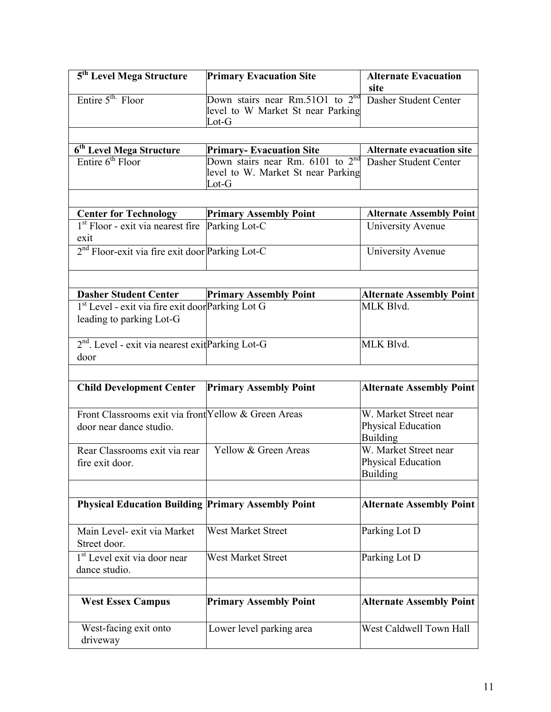| 5 <sup>th</sup> Level Mega Structure                                            | <b>Primary Evacuation Site</b>                                                              | <b>Alternate Evacuation</b><br>site                            |
|---------------------------------------------------------------------------------|---------------------------------------------------------------------------------------------|----------------------------------------------------------------|
| Entire 5 <sup>th.</sup> Floor                                                   | Down stairs near Rm.5101 to $2^{nd}$<br>level to W Market St near Parking<br>$_{\rm Lot-G}$ | Dasher Student Center                                          |
|                                                                                 |                                                                                             |                                                                |
| 6 <sup>th</sup> Level Mega Structure                                            | <b>Primary-Evacuation Site</b>                                                              | <b>Alternate evacuation site</b>                               |
| Entire $6th$ Floor                                                              | Down stairs near Rm. $6101$ to $2^{nd}$<br>level to W. Market St near Parking<br>$Lot-G$    | Dasher Student Center                                          |
|                                                                                 |                                                                                             |                                                                |
| <b>Center for Technology</b>                                                    | <b>Primary Assembly Point</b>                                                               | <b>Alternate Assembly Point</b>                                |
| 1 <sup>st</sup> Floor - exit via nearest fire Parking Lot-C<br>exit             |                                                                                             | University Avenue                                              |
| 2 <sup>nd</sup> Floor-exit via fire exit door Parking Lot-C                     |                                                                                             | University Avenue                                              |
|                                                                                 |                                                                                             |                                                                |
| <b>Dasher Student Center</b>                                                    | <b>Primary Assembly Point</b>                                                               | <b>Alternate Assembly Point</b>                                |
| 1st Level - exit via fire exit doorParking Lot G<br>leading to parking Lot-G    |                                                                                             | MLK Blvd.                                                      |
| 2 <sup>nd</sup> . Level - exit via nearest exit Parking Lot-G<br>door           |                                                                                             | MLK Blvd.                                                      |
|                                                                                 |                                                                                             |                                                                |
| <b>Child Development Center</b>                                                 | <b>Primary Assembly Point</b>                                                               | <b>Alternate Assembly Point</b>                                |
| Front Classrooms exit via front Yellow & Green Areas<br>door near dance studio. |                                                                                             | W. Market Street near<br>Physical Education<br><b>Building</b> |
| Rear Classrooms exit via rear<br>fire exit door.                                | Yellow & Green Areas                                                                        | W. Market Street near<br>Physical Education<br><b>Building</b> |
| <b>Physical Education Building Primary Assembly Point</b>                       |                                                                                             | <b>Alternate Assembly Point</b>                                |
|                                                                                 |                                                                                             |                                                                |
| Main Level- exit via Market<br>Street door.                                     | <b>West Market Street</b>                                                                   | Parking Lot D                                                  |
| 1 <sup>st</sup> Level exit via door near<br>dance studio.                       | <b>West Market Street</b>                                                                   | Parking Lot D                                                  |
| <b>West Essex Campus</b>                                                        | <b>Primary Assembly Point</b>                                                               | <b>Alternate Assembly Point</b>                                |
| West-facing exit onto<br>driveway                                               | Lower level parking area                                                                    | West Caldwell Town Hall                                        |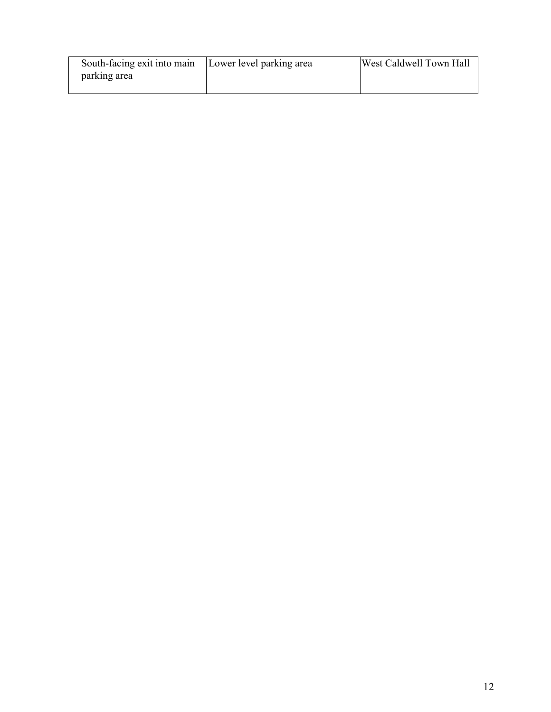| South-facing exit into main | Lower level parking area | West Caldwell Town Hall |
|-----------------------------|--------------------------|-------------------------|
| parking area                |                          |                         |
|                             |                          |                         |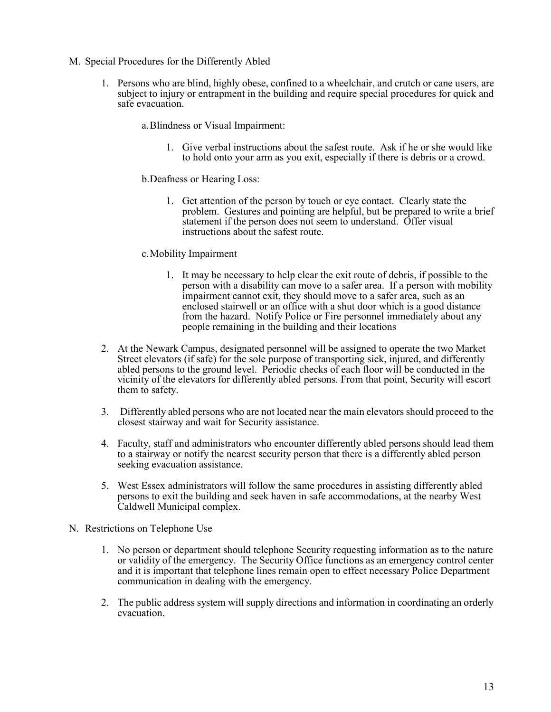- M. Special Procedures for the Differently Abled
	- 1. Persons who are blind, highly obese, confined to a wheelchair, and crutch or cane users, are subject to injury or entrapment in the building and require special procedures for quick and safe evacuation.
		- a.Blindness or Visual Impairment:
			- 1. Give verbal instructions about the safest route. Ask if he or she would like to hold onto your arm as you exit, especially if there is debris or a crowd.
		- b.Deafness or Hearing Loss:
			- 1. Get attention of the person by touch or eye contact. Clearly state the problem. Gestures and pointing are helpful, but be prepared to write a brief statement if the person does not seem to understand. Offer visual instructions about the safest route.
		- c.Mobility Impairment
			- 1. It may be necessary to help clear the exit route of debris, if possible to the person with a disability can move to a safer area. If a person with mobility impairment cannot exit, they should move to a safer area, such as an enclosed stairwell or an office with a shut door which is a good distance from the hazard. Notify Police or Fire personnel immediately about any people remaining in the building and their locations
	- 2. At the Newark Campus, designated personnel will be assigned to operate the two Market Street elevators (if safe) for the sole purpose of transporting sick, injured, and differently abled persons to the ground level. Periodic checks of each floor will be conducted in the vicinity of the elevators for differently abled persons. From that point, Security will escort them to safety.
	- 3. Differently abled persons who are not located near the main elevators should proceed to the closest stairway and wait for Security assistance.
	- 4. Faculty, staff and administrators who encounter differently abled persons should lead them to a stairway or notify the nearest security person that there is a differently abled person seeking evacuation assistance.
	- 5. West Essex administrators will follow the same procedures in assisting differently abled persons to exit the building and seek haven in safe accommodations, at the nearby West Caldwell Municipal complex.
- N. Restrictions on Telephone Use
	- 1. No person or department should telephone Security requesting information as to the nature or validity of the emergency. The Security Office functions as an emergency control center and it is important that telephone lines remain open to effect necessary Police Department communication in dealing with the emergency.
	- 2. The public address system will supply directions and information in coordinating an orderly evacuation.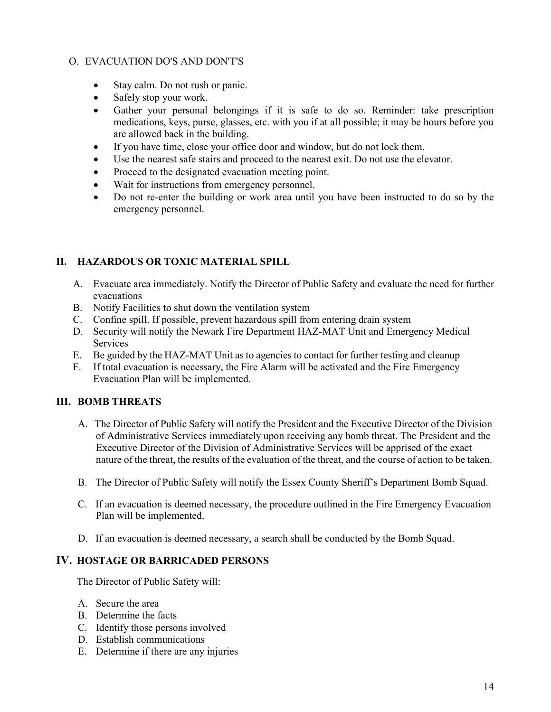# O. EVACUATION DO'S AND DON'T'S

- Stay calm. Do not rush or panic.
- Safely stop your work.
- Gather your personal belongings if it is safe to do so. Reminder: take prescription medications, keys, purse, glasses, etc. with you if at all possible; it may be hours before you are allowed back in the building.
- If you have time, close your office door and window, but do not lock them.
- Use the nearest safe stairs and proceed to the nearest exit. Do not use the elevator.
- Proceed to the designated evacuation meeting point.
- Wait for instructions from emergency personnel.
- Do not re-enter the building or work area until you have been instructed to do so by the emergency personnel.

# **II. HAZARDOUS OR TOXIC MATERIAL SPILL**

- A. Evacuate area immediately. Notify the Director of Public Safety and evaluate the need for further evacuations
- B. Notify Facilities to shut down the ventilation system
- C. Confine spill. If possible, prevent hazardous spill from entering drain system
- D. Security will notify the Newark Fire Department HAZ-MAT Unit and Emergency Medical **Services**
- E. Be guided by the HAZ-MAT Unit as to agencies to contact for further testing and cleanup
- F. If total evacuation is necessary, the Fire Alarm will be activated and the Fire Emergency Evacuation Plan will be implemented.

# **III. BOMB THREATS**

- A. The Director of Public Safety will notify the President and the Executive Director of the Division of Administrative Services immediately upon receiving any bomb threat. The President and the Executive Director of the Division of Administrative Services will be apprised of the exact nature of the threat, the results of the evaluation of the threat, and the course of action to be taken.
- B. The Director of Public Safety will notify the Essex County Sheriff's Department Bomb Squad.
- C. If an evacuation is deemed necessary, the procedure outlined in the Fire Emergency Evacuation Plan will be implemented.
- D. If an evacuation is deemed necessary, a search shall be conducted by the Bomb Squad.

## **IV. HOSTAGE OR BARRICADED PERSONS**

The Director of Public Safety will:

- A. Secure the area
- B. Determine the facts
- C. Identify those persons involved
- D. Establish communications
- E. Determine if there are any injuries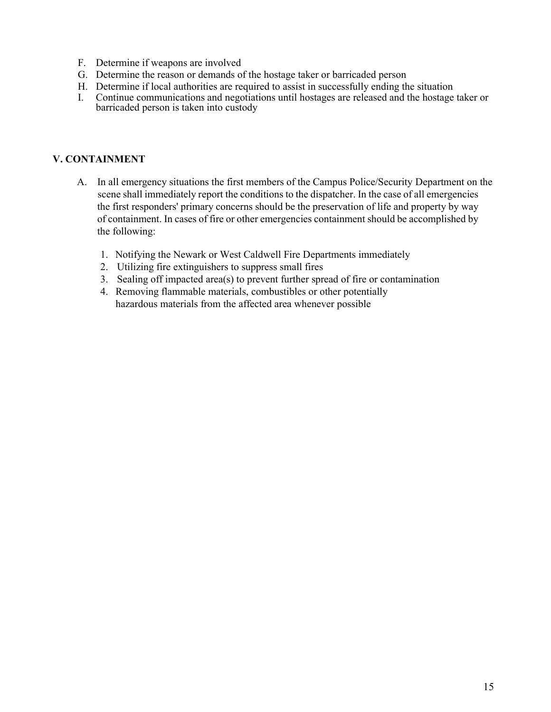- F. Determine if weapons are involved
- G. Determine the reason or demands of the hostage taker or barricaded person
- H. Determine if local authorities are required to assist in successfully ending the situation
- I. Continue communications and negotiations until hostages are released and the hostage taker or barricaded person is taken into custody

# **V. CONTAINMENT**

- A. In all emergency situations the first members of the Campus Police/Security Department on the scene shall immediately report the conditions to the dispatcher. In the case of all emergencies the first responders' primary concerns should be the preservation of life and property by way of containment. In cases of fire or other emergencies containment should be accomplished by the following:
	- 1. Notifying the Newark or West Caldwell Fire Departments immediately
	- 2. Utilizing fire extinguishers to suppress small fires
	- 3. Sealing off impacted area(s) to prevent further spread of fire or contamination
	- 4. Removing flammable materials, combustibles or other potentially hazardous materials from the affected area whenever possible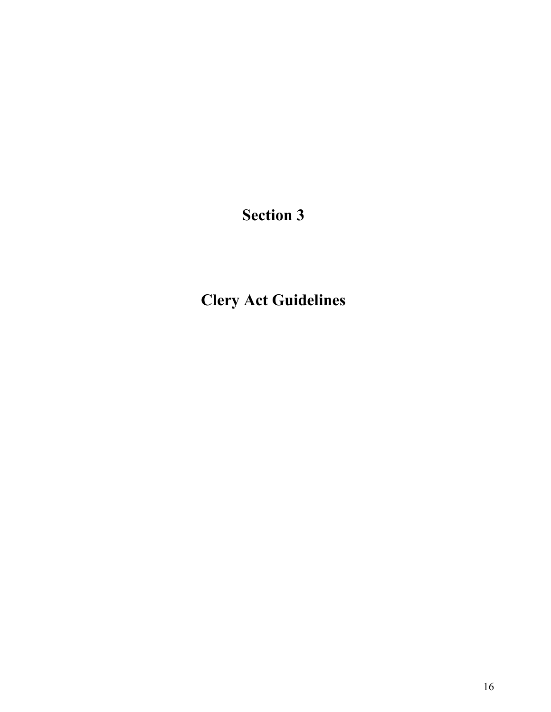**Clery Act Guidelines**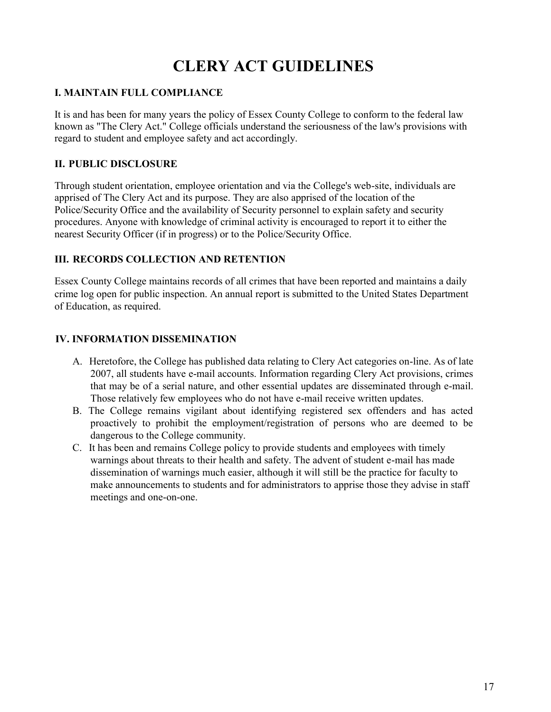# **CLERY ACT GUIDELINES**

# **I. MAINTAIN FULL COMPLIANCE**

It is and has been for many years the policy of Essex County College to conform to the federal law known as "The Clery Act." College officials understand the seriousness of the law's provisions with regard to student and employee safety and act accordingly.

# **II. PUBLIC DISCLOSURE**

Through student orientation, employee orientation and via the College's web-site, individuals are apprised of The Clery Act and its purpose. They are also apprised of the location of the Police/Security Office and the availability of Security personnel to explain safety and security procedures. Anyone with knowledge of criminal activity is encouraged to report it to either the nearest Security Officer (if in progress) or to the Police/Security Office.

# **III. RECORDS COLLECTION AND RETENTION**

Essex County College maintains records of all crimes that have been reported and maintains a daily crime log open for public inspection. An annual report is submitted to the United States Department of Education, as required.

# **IV. INFORMATION DISSEMINATION**

- A. Heretofore, the College has published data relating to Clery Act categories on-line. As of late 2007, all students have e-mail accounts. Information regarding Clery Act provisions, crimes that may be of a serial nature, and other essential updates are disseminated through e-mail. Those relatively few employees who do not have e-mail receive written updates.
- B. The College remains vigilant about identifying registered sex offenders and has acted proactively to prohibit the employment/registration of persons who are deemed to be dangerous to the College community.
- C. It has been and remains College policy to provide students and employees with timely warnings about threats to their health and safety. The advent of student e-mail has made dissemination of warnings much easier, although it will still be the practice for faculty to make announcements to students and for administrators to apprise those they advise in staff meetings and one-on-one.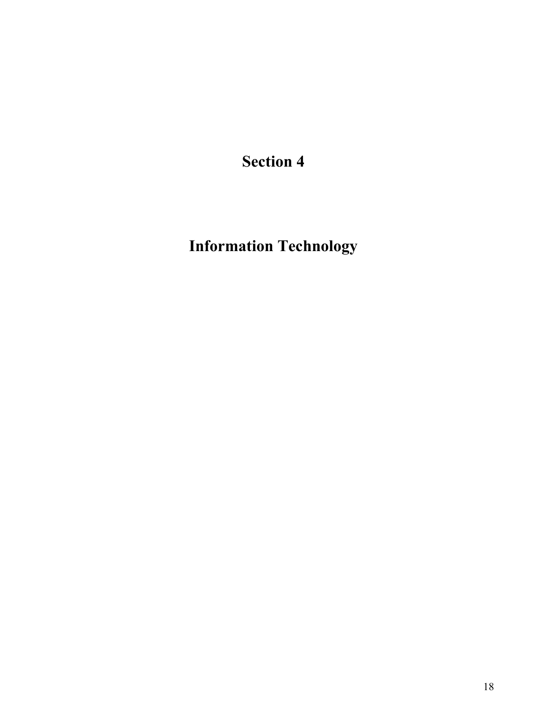**Information Technology**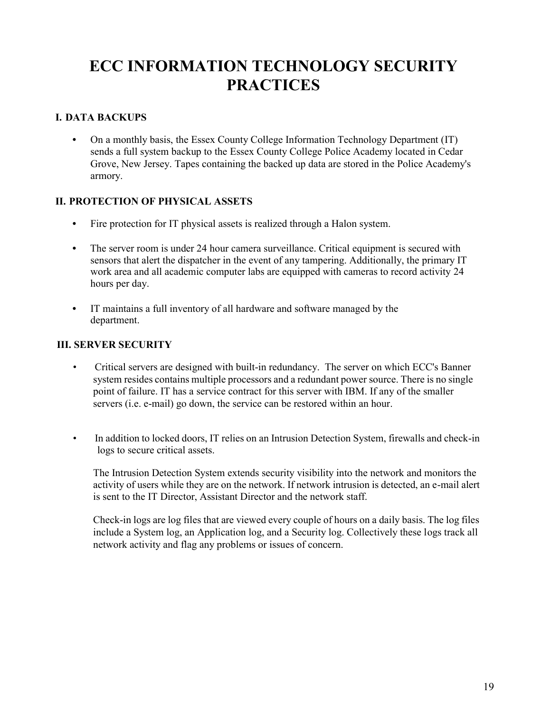# **ECC INFORMATION TECHNOLOGY SECURITY PRACTICES**

# **I. DATA BACKUPS**

**•** On a monthly basis, the Essex County College Information Technology Department (IT) sends a full system backup to the Essex County College Police Academy located in Cedar Grove, New Jersey. Tapes containing the backed up data are stored in the Police Academy's armory.

## **II. PROTECTION OF PHYSICAL ASSETS**

- **•** Fire protection for IT physical assets is realized through a Halon system.
- The server room is under 24 hour camera surveillance. Critical equipment is secured with sensors that alert the dispatcher in the event of any tampering. Additionally, the primary IT work area and all academic computer labs are equipped with cameras to record activity 24 hours per day.
- **•** IT maintains a full inventory of all hardware and software managed by the department.

## **III. SERVER SECURITY**

- Critical servers are designed with built-in redundancy. The server on which ECC's Banner system resides contains multiple processors and a redundant power source. There is no single point of failure. IT has a service contract for this server with IBM. If any of the smaller servers (i.e. e-mail) go down, the service can be restored within an hour.
- In addition to locked doors, IT relies on an Intrusion Detection System, firewalls and check-in logs to secure critical assets.

The Intrusion Detection System extends security visibility into the network and monitors the activity of users while they are on the network. If network intrusion is detected, an e-mail alert is sent to the IT Director, Assistant Director and the network staff.

Check-in logs are log files that are viewed every couple of hours on a daily basis. The log files include a System log, an Application log, and a Security log. Collectively these logs track all network activity and flag any problems or issues of concern.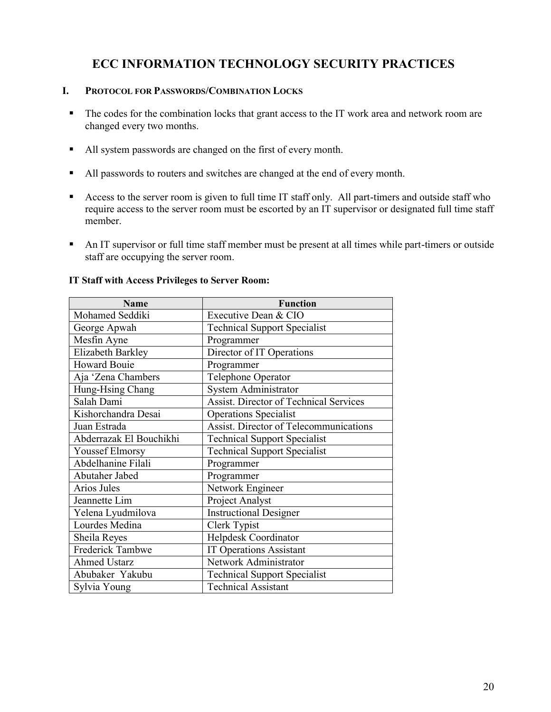# **ECC INFORMATION TECHNOLOGY SECURITY PRACTICES**

## **I. PROTOCOL FOR PASSWORDS/COMBINATION LOCKS**

- The codes for the combination locks that grant access to the IT work area and network room are changed every two months.
- All system passwords are changed on the first of every month.
- All passwords to routers and switches are changed at the end of every month.
- Access to the server room is given to full time IT staff only. All part-timers and outside staff who require access to the server room must be escorted by an IT supervisor or designated full time staff member.
- An IT supervisor or full time staff member must be present at all times while part-timers or outside staff are occupying the server room.

| <b>Name</b>             | <b>Function</b>                               |
|-------------------------|-----------------------------------------------|
| Mohamed Seddiki         | Executive Dean & CIO                          |
| George Apwah            | <b>Technical Support Specialist</b>           |
| Mesfin Ayne             | Programmer                                    |
| Elizabeth Barkley       | Director of IT Operations                     |
| <b>Howard Bouie</b>     | Programmer                                    |
| Aja 'Zena Chambers      | Telephone Operator                            |
| Hung-Hsing Chang        | System Administrator                          |
| Salah Dami              | <b>Assist. Director of Technical Services</b> |
| Kishorchandra Desai     | <b>Operations Specialist</b>                  |
| Juan Estrada            | Assist. Director of Telecommunications        |
| Abderrazak El Bouchikhi | <b>Technical Support Specialist</b>           |
| <b>Youssef Elmorsy</b>  | <b>Technical Support Specialist</b>           |
| Abdelhanine Filali      | Programmer                                    |
| Abutaher Jabed          | Programmer                                    |
| Arios Jules             | Network Engineer                              |
| Jeannette Lim           | Project Analyst                               |
| Yelena Lyudmilova       | <b>Instructional Designer</b>                 |
| Lourdes Medina          | Clerk Typist                                  |
| Sheila Reyes            | Helpdesk Coordinator                          |
| Frederick Tambwe        | <b>IT Operations Assistant</b>                |
| <b>Ahmed Ustarz</b>     | Network Administrator                         |
| Abubaker Yakubu         | <b>Technical Support Specialist</b>           |
| Sylvia Young            | <b>Technical Assistant</b>                    |

#### **IT Staff with Access Privileges to Server Room:**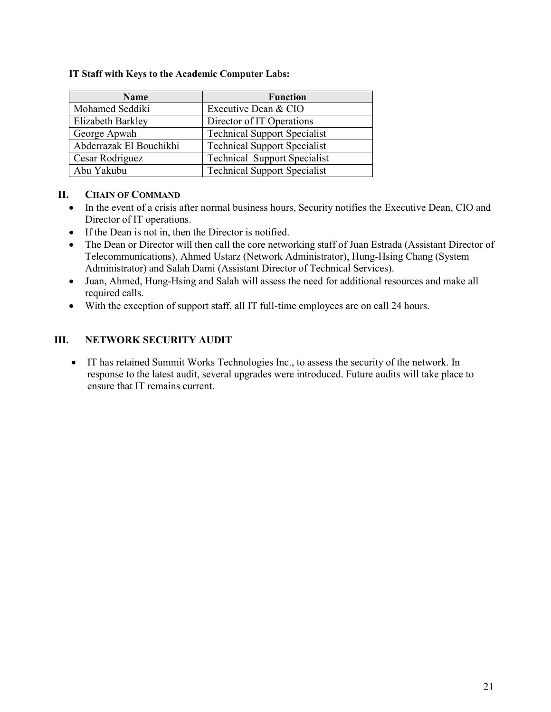| <b>Name</b>             | <b>Function</b>                     |
|-------------------------|-------------------------------------|
| Mohamed Seddiki         | Executive Dean & CIO                |
| Elizabeth Barkley       | Director of IT Operations           |
| George Apwah            | <b>Technical Support Specialist</b> |
| Abderrazak El Bouchikhi | <b>Technical Support Specialist</b> |
| Cesar Rodriguez         | <b>Technical Support Specialist</b> |
| Abu Yakubu              | <b>Technical Support Specialist</b> |

## **II. CHAIN OF COMMAND**

- In the event of a crisis after normal business hours, Security notifies the Executive Dean, CIO and Director of IT operations.
- If the Dean is not in, then the Director is notified.
- The Dean or Director will then call the core networking staff of Juan Estrada (Assistant Director of Telecommunications), Ahmed Ustarz (Network Administrator), Hung-Hsing Chang (System Administrator) and Salah Dami (Assistant Director of Technical Services).
- Juan, Ahmed, Hung-Hsing and Salah will assess the need for additional resources and make all required calls.
- With the exception of support staff, all IT full-time employees are on call 24 hours.

# **III. NETWORK SECURITY AUDIT**

 IT has retained Summit Works Technologies Inc., to assess the security of the network. In response to the latest audit, several upgrades were introduced. Future audits will take place to ensure that IT remains current.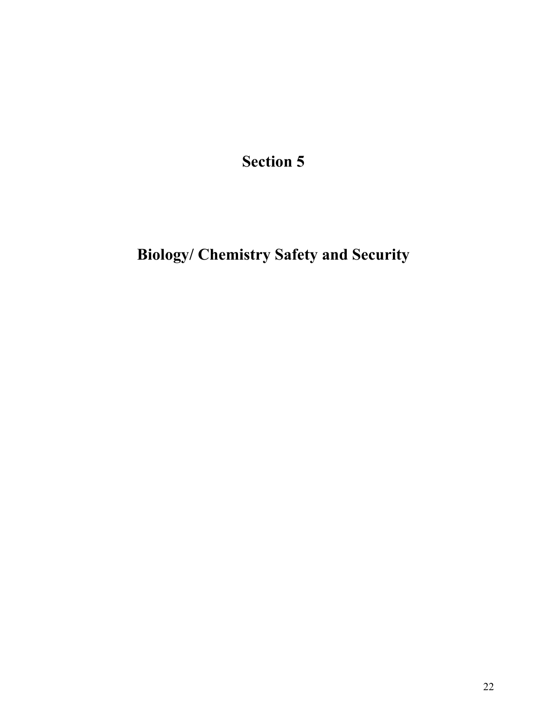# **Biology/ Chemistry Safety and Security**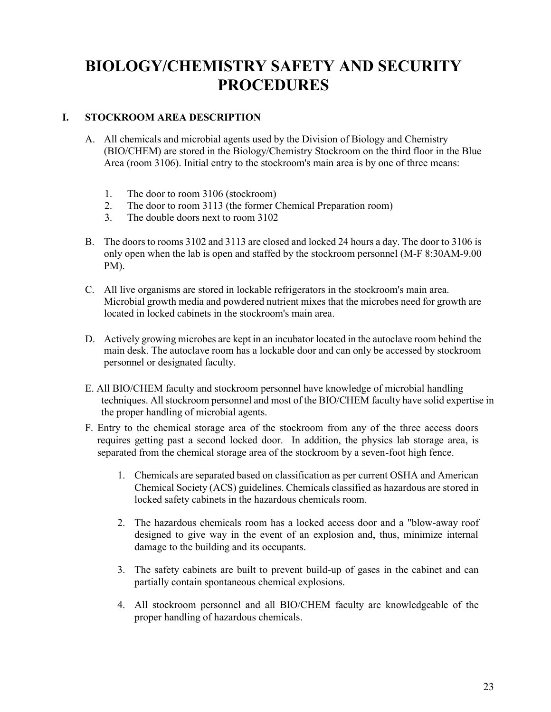# **BIOLOGY/CHEMISTRY SAFETY AND SECURITY PROCEDURES**

# **I. STOCKROOM AREA DESCRIPTION**

- A. All chemicals and microbial agents used by the Division of Biology and Chemistry (BIO/CHEM) are stored in the Biology/Chemistry Stockroom on the third floor in the Blue Area (room 3106). Initial entry to the stockroom's main area is by one of three means:
	- 1. The door to room 3106 (stockroom)
	- 2. The door to room 3113 (the former Chemical Preparation room)
	- 3. The double doors next to room 3102
- B. The doors to rooms 3102 and 3113 are closed and locked 24 hours a day. The door to 3106 is only open when the lab is open and staffed by the stockroom personnel (M-F 8:30AM-9.00 PM).
- C. All live organisms are stored in lockable refrigerators in the stockroom's main area. Microbial growth media and powdered nutrient mixes that the microbes need for growth are located in locked cabinets in the stockroom's main area.
- D. Actively growing microbes are kept in an incubator located in the autoclave room behind the main desk. The autoclave room has a lockable door and can only be accessed by stockroom personnel or designated faculty.
- E. All BIO/CHEM faculty and stockroom personnel have knowledge of microbial handling techniques. All stockroom personnel and most of the BIO/CHEM faculty have solid expertise in the proper handling of microbial agents.
- F. Entry to the chemical storage area of the stockroom from any of the three access doors requires getting past a second locked door. In addition, the physics lab storage area, is separated from the chemical storage area of the stockroom by a seven-foot high fence.
	- 1. Chemicals are separated based on classification as per current OSHA and American Chemical Society (ACS) guidelines. Chemicals classified as hazardous are stored in locked safety cabinets in the hazardous chemicals room.
	- 2. The hazardous chemicals room has a locked access door and a "blow-away roof designed to give way in the event of an explosion and, thus, minimize internal damage to the building and its occupants.
	- 3. The safety cabinets are built to prevent build-up of gases in the cabinet and can partially contain spontaneous chemical explosions.
	- 4. All stockroom personnel and all BIO/CHEM faculty are knowledgeable of the proper handling of hazardous chemicals.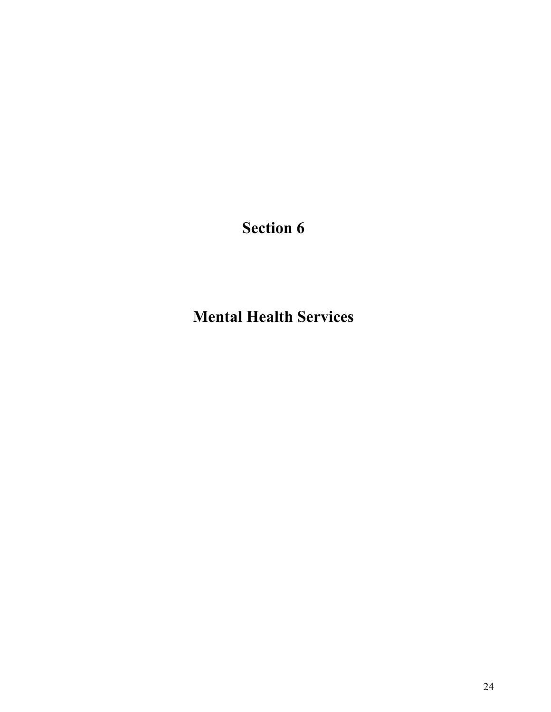**Mental Health Services**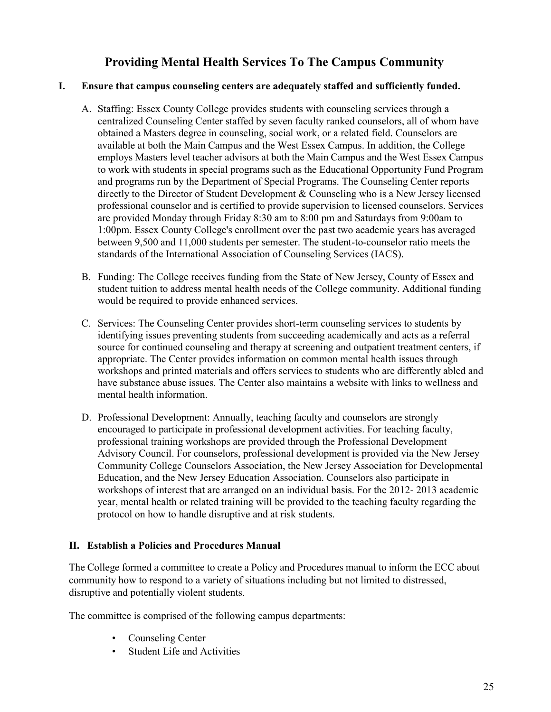# **Providing Mental Health Services To The Campus Community**

# **I. Ensure that campus counseling centers are adequately staffed and sufficiently funded.**

- A. Staffing: Essex County College provides students with counseling services through a centralized Counseling Center staffed by seven faculty ranked counselors, all of whom have obtained a Masters degree in counseling, social work, or a related field. Counselors are available at both the Main Campus and the West Essex Campus. In addition, the College employs Masters level teacher advisors at both the Main Campus and the West Essex Campus to work with students in special programs such as the Educational Opportunity Fund Program and programs run by the Department of Special Programs. The Counseling Center reports directly to the Director of Student Development & Counseling who is a New Jersey licensed professional counselor and is certified to provide supervision to licensed counselors. Services are provided Monday through Friday 8:30 am to 8:00 pm and Saturdays from 9:00am to 1:00pm. Essex County College's enrollment over the past two academic years has averaged between 9,500 and 11,000 students per semester. The student-to-counselor ratio meets the standards of the International Association of Counseling Services (IACS).
- B. Funding: The College receives funding from the State of New Jersey, County of Essex and student tuition to address mental health needs of the College community. Additional funding would be required to provide enhanced services.
- C. Services: The Counseling Center provides short-term counseling services to students by identifying issues preventing students from succeeding academically and acts as a referral source for continued counseling and therapy at screening and outpatient treatment centers, if appropriate. The Center provides information on common mental health issues through workshops and printed materials and offers services to students who are differently abled and have substance abuse issues. The Center also maintains a website with links to wellness and mental health information.
- D. Professional Development: Annually, teaching faculty and counselors are strongly encouraged to participate in professional development activities. For teaching faculty, professional training workshops are provided through the Professional Development Advisory Council. For counselors, professional development is provided via the New Jersey Community College Counselors Association, the New Jersey Association for Developmental Education, and the New Jersey Education Association. Counselors also participate in workshops of interest that are arranged on an individual basis. For the 2012- 2013 academic year, mental health or related training will be provided to the teaching faculty regarding the protocol on how to handle disruptive and at risk students.

# **II. Establish a Policies and Procedures Manual**

The College formed a committee to create a Policy and Procedures manual to inform the ECC about community how to respond to a variety of situations including but not limited to distressed, disruptive and potentially violent students.

The committee is comprised of the following campus departments:

- Counseling Center
- Student Life and Activities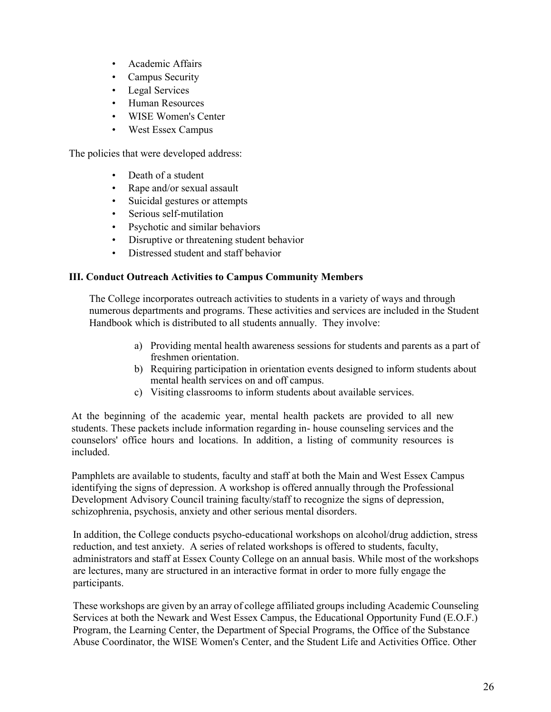- Academic Affairs
- Campus Security
- Legal Services
- Human Resources
- WISE Women's Center
- West Essex Campus

The policies that were developed address:

- Death of a student
- Rape and/or sexual assault
- Suicidal gestures or attempts
- Serious self-mutilation
- Psychotic and similar behaviors
- Disruptive or threatening student behavior
- Distressed student and staff behavior

## **III. Conduct Outreach Activities to Campus Community Members**

The College incorporates outreach activities to students in a variety of ways and through numerous departments and programs. These activities and services are included in the Student Handbook which is distributed to all students annually. They involve:

- a) Providing mental health awareness sessions for students and parents as a part of freshmen orientation.
- b) Requiring participation in orientation events designed to inform students about mental health services on and off campus.
- c) Visiting classrooms to inform students about available services.

At the beginning of the academic year, mental health packets are provided to all new students. These packets include information regarding in- house counseling services and the counselors' office hours and locations. In addition, a listing of community resources is included.

Pamphlets are available to students, faculty and staff at both the Main and West Essex Campus identifying the signs of depression. A workshop is offered annually through the Professional Development Advisory Council training faculty/staff to recognize the signs of depression, schizophrenia, psychosis, anxiety and other serious mental disorders.

In addition, the College conducts psycho-educational workshops on alcohol/drug addiction, stress reduction, and test anxiety. A series of related workshops is offered to students, faculty, administrators and staff at Essex County College on an annual basis. While most of the workshops are lectures, many are structured in an interactive format in order to more fully engage the participants.

These workshops are given by an array of college affiliated groups including Academic Counseling Services at both the Newark and West Essex Campus, the Educational Opportunity Fund (E.O.F.) Program, the Learning Center, the Department of Special Programs, the Office of the Substance Abuse Coordinator, the WISE Women's Center, and the Student Life and Activities Office. Other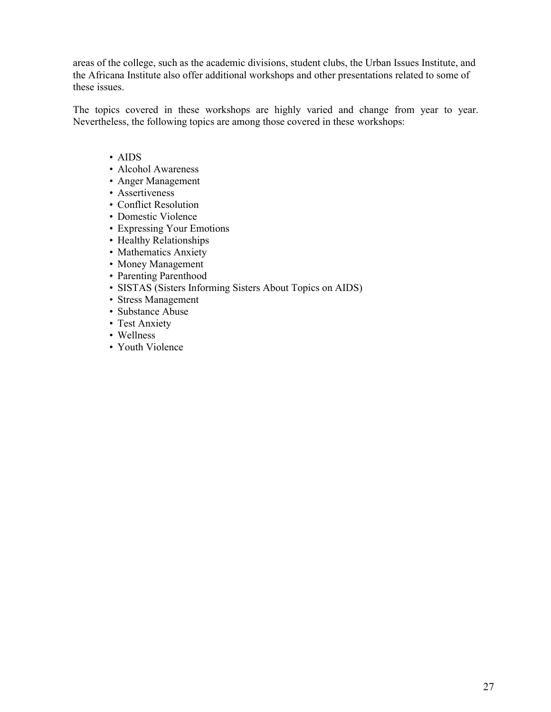areas of the college, such as the academic divisions, student clubs, the Urban Issues Institute, and the Africana Institute also offer additional workshops and other presentations related to some of these issues.

The topics covered in these workshops are highly varied and change from year to year. Nevertheless, the following topics are among those covered in these workshops:

- AIDS
- Alcohol Awareness
- Anger Management
- Assertiveness
- Conflict Resolution
- Domestic Violence
- Expressing Your Emotions
- Healthy Relationships
- Mathematics Anxiety
- Money Management
- Parenting Parenthood
- SISTAS (Sisters Informing Sisters About Topics on AIDS)
- Stress Management
- Substance Abuse
- Test Anxiety
- Wellness
- Youth Violence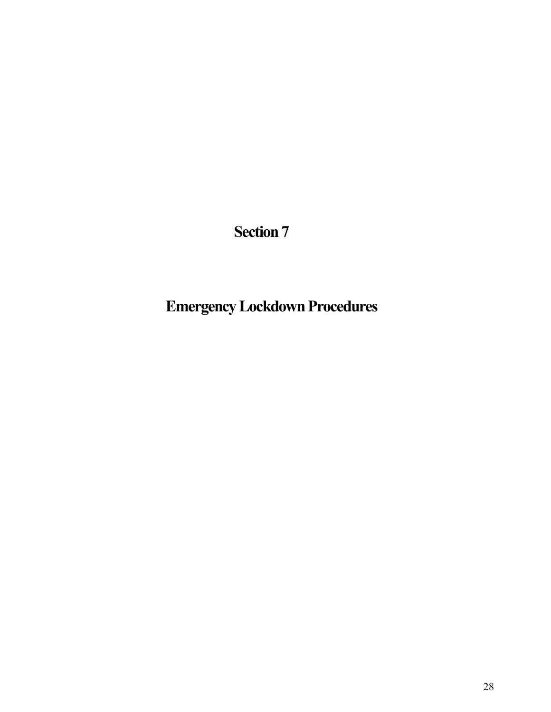# **Emergency Lockdown Procedures**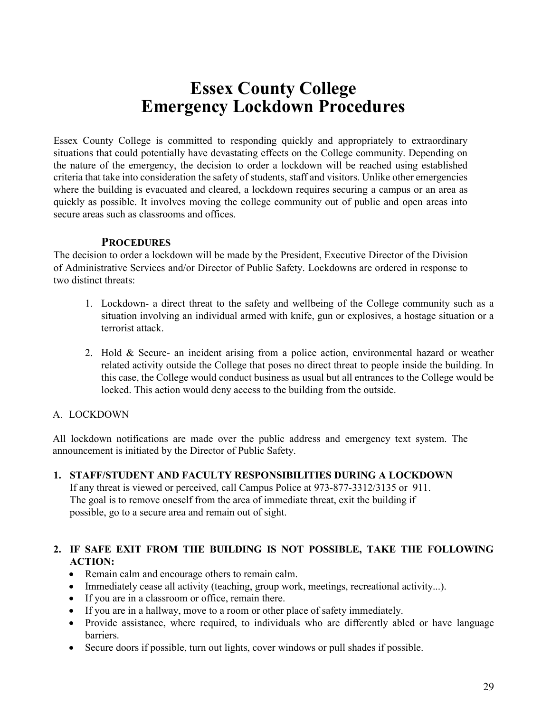# **Essex County College Emergency Lockdown Procedures**

Essex County College is committed to responding quickly and appropriately to extraordinary situations that could potentially have devastating effects on the College community. Depending on the nature of the emergency, the decision to order a lockdown will be reached using established criteria that take into consideration the safety of students, staff and visitors. Unlike other emergencies where the building is evacuated and cleared, a lockdown requires securing a campus or an area as quickly as possible. It involves moving the college community out of public and open areas into secure areas such as classrooms and offices.

## **PROCEDURES**

The decision to order a lockdown will be made by the President, Executive Director of the Division of Administrative Services and/or Director of Public Safety. Lockdowns are ordered in response to two distinct threats:

- 1. Lockdown- a direct threat to the safety and wellbeing of the College community such as a situation involving an individual armed with knife, gun or explosives, a hostage situation or a terrorist attack.
- 2. Hold & Secure- an incident arising from a police action, environmental hazard or weather related activity outside the College that poses no direct threat to people inside the building. In this case, the College would conduct business as usual but all entrances to the College would be locked. This action would deny access to the building from the outside.

# A. LOCKDOWN

All lockdown notifications are made over the public address and emergency text system. The announcement is initiated by the Director of Public Safety.

# **1. STAFF/STUDENT AND FACULTY RESPONSIBILITIES DURING A LOCKDOWN**

If any threat is viewed or perceived, call Campus Police at 973-877-3312/3135 or 911. The goal is to remove oneself from the area of immediate threat, exit the building if possible, go to a secure area and remain out of sight.

# **2. IF SAFE EXIT FROM THE BUILDING IS NOT POSSIBLE, TAKE THE FOLLOWING ACTION:**

- Remain calm and encourage others to remain calm.
- Immediately cease all activity (teaching, group work, meetings, recreational activity...).
- If you are in a classroom or office, remain there.
- If you are in a hallway, move to a room or other place of safety immediately.
- Provide assistance, where required, to individuals who are differently abled or have language barriers.
- Secure doors if possible, turn out lights, cover windows or pull shades if possible.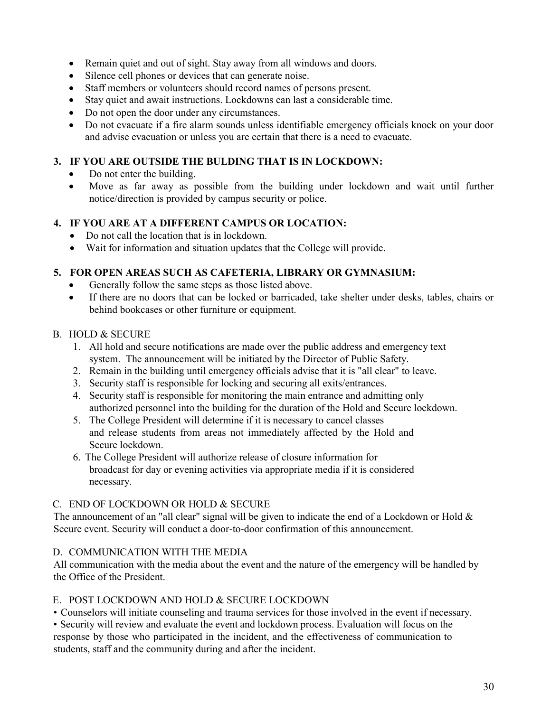- Remain quiet and out of sight. Stay away from all windows and doors.
- Silence cell phones or devices that can generate noise.
- Staff members or volunteers should record names of persons present.
- Stay quiet and await instructions. Lockdowns can last a considerable time.
- Do not open the door under any circumstances.
- Do not evacuate if a fire alarm sounds unless identifiable emergency officials knock on your door and advise evacuation or unless you are certain that there is a need to evacuate.

# **3. IF YOU ARE OUTSIDE THE BULDING THAT IS IN LOCKDOWN:**

- Do not enter the building.
- Move as far away as possible from the building under lockdown and wait until further notice/direction is provided by campus security or police.

## **4. IF YOU ARE AT A DIFFERENT CAMPUS OR LOCATION:**

- Do not call the location that is in lockdown.
- Wait for information and situation updates that the College will provide.

# **5. FOR OPEN AREAS SUCH AS CAFETERIA, LIBRARY OR GYMNASIUM:**

- Generally follow the same steps as those listed above.
- If there are no doors that can be locked or barricaded, take shelter under desks, tables, chairs or behind bookcases or other furniture or equipment.

## B. HOLD & SECURE

- 1. All hold and secure notifications are made over the public address and emergency text system. The announcement will be initiated by the Director of Public Safety.
- 2. Remain in the building until emergency officials advise that it is "all clear" to leave.
- 3. Security staff is responsible for locking and securing all exits/entrances.
- 4. Security staff is responsible for monitoring the main entrance and admitting only authorized personnel into the building for the duration of the Hold and Secure lockdown.
- 5. The College President will determine if it is necessary to cancel classes and release students from areas not immediately affected by the Hold and Secure lockdown.
- 6. The College President will authorize release of closure information for broadcast for day or evening activities via appropriate media if it is considered necessary.

# C. END OF LOCKDOWN OR HOLD & SECURE

The announcement of an "all clear" signal will be given to indicate the end of a Lockdown or Hold & Secure event. Security will conduct a door-to-door confirmation of this announcement.

# D. COMMUNICATION WITH THE MEDIA

All communication with the media about the event and the nature of the emergency will be handled by the Office of the President.

# E. POST LOCKDOWN AND HOLD & SECURE LOCKDOWN

• Counselors will initiate counseling and trauma services for those involved in the event if necessary.

• Security will review and evaluate the event and lockdown process. Evaluation will focus on the response by those who participated in the incident, and the effectiveness of communication to students, staff and the community during and after the incident.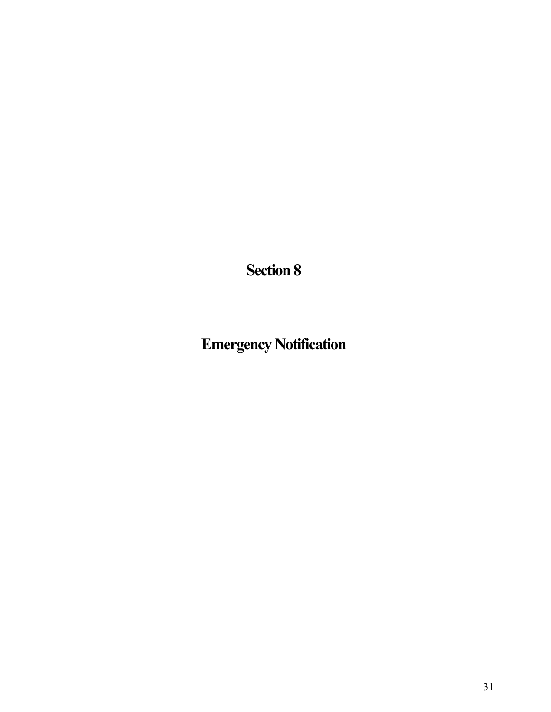**Emergency Notification**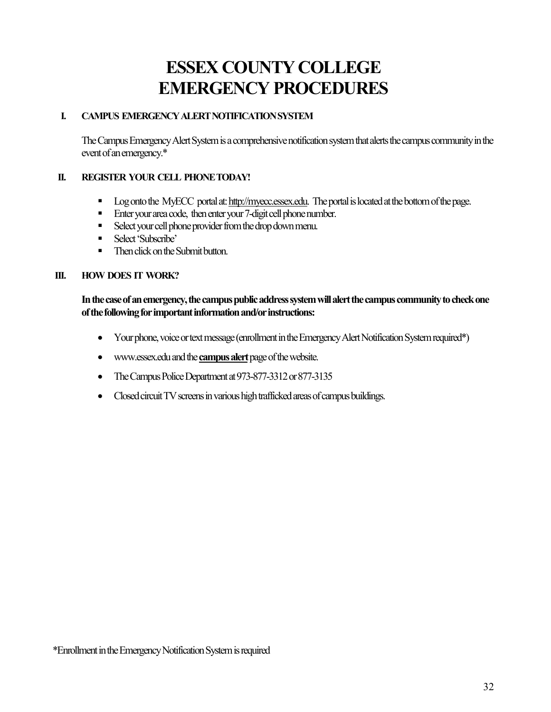# **ESSEX COUNTY COLLEGE EMERGENCY PROCEDURES**

# **I. CAMPUS EMERGENCY ALERT NOTIFICATION SYSTEM**

The Campus Emergency Alert System is a comprehensive notification system that alerts the campus community in the event of an emergency.\*

## **II. REGISTER YOUR CELL PHONE TODAY!**

- Dog onto the MyECC portal at[: http://myecc.essex.edu.](http://myecc.essex.edu/) The portal is located at the bottom of the page.
- Enter your area code, then enter your 7-digit cell phone number.
- Select your cell phone provider from the drop down menu.
- **Select 'Subscribe'**
- Then click on the Submit button.

#### **III. HOW DOES IT WORK?**

**In the case of an emergency, the campus public address system will alert the campus community to check one of the following for important information and/or instructions:** 

- Your phone, voice or text message (enrollment in the Emergency Alert Notification System required\*)
- [www.essex.edu](http://www.essex.edu/) and the **campus alert** page of the website.
- The Campus Police Department at 973-877-3312 or 877-3135
- Closed circuit TV screens in various high trafficked areas of campus buildings.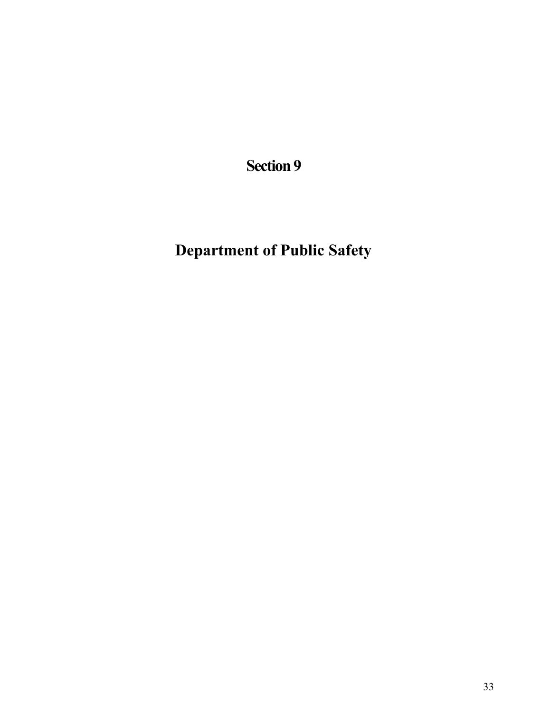**Department of Public Safety**